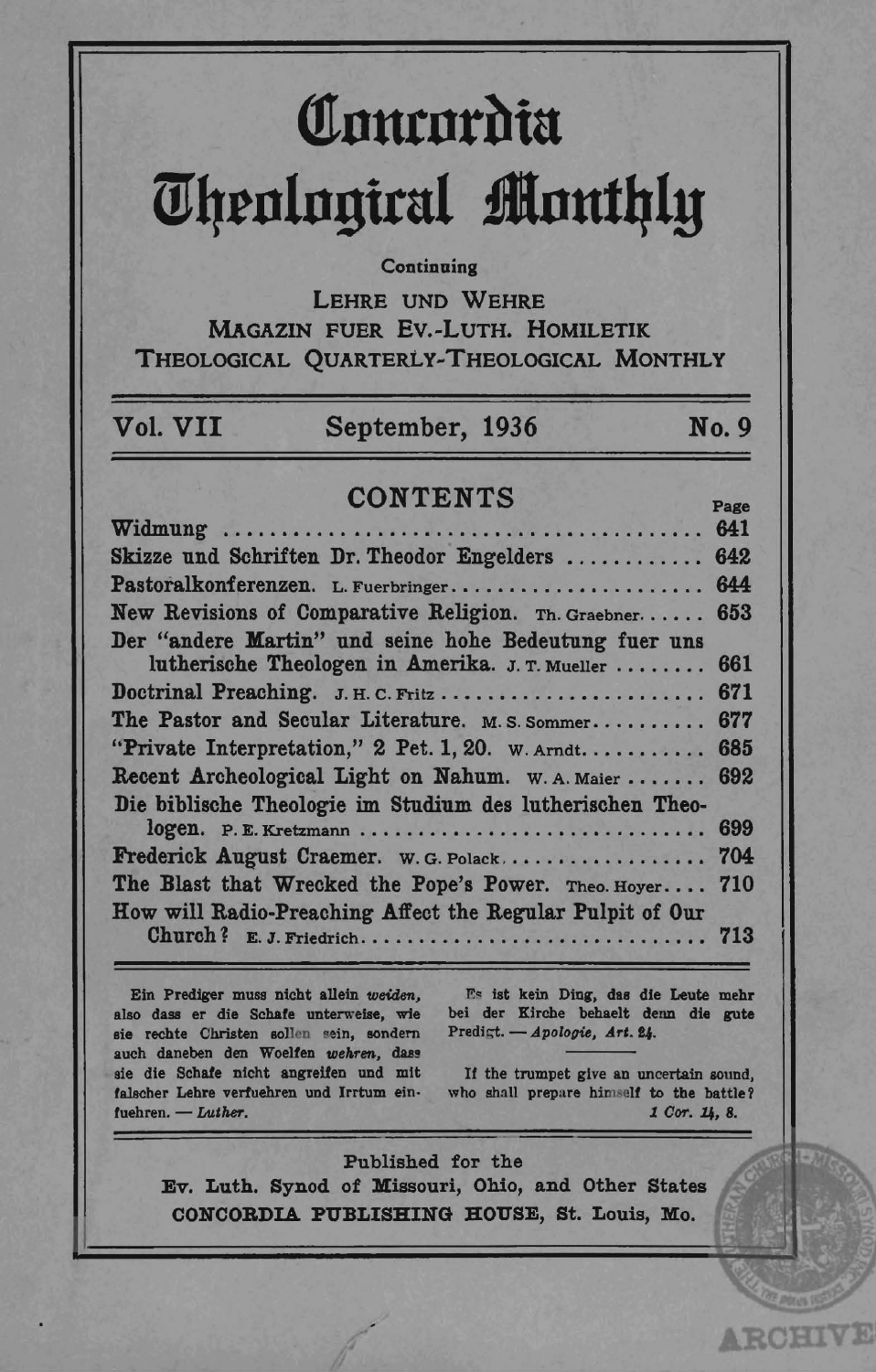# **Contordia** *<u>Uhenlogical Monthly</u>*

#### **Continuing**

LEHRE UND WEHRE MAGAZIN FUER Ev.-LuTH. HOMILETIK THEOLOGICAL QUARTERLy-THEOLOGICAL MONTHLY

## Vol. VII September, 1936 No.9

### CONTENTS Page

|                                                           | $\sim$ and |
|-----------------------------------------------------------|------------|
|                                                           |            |
| Skizze und Schriften Dr. Theodor Engelders  642           |            |
| Pastoralkonferenzen. L. Fuerbringer 644                   |            |
| New Revisions of Comparative Religion. Th. Graebner 653   |            |
| Der "andere Martin" und seine hohe Bedeutung fuer uns     |            |
| lutherische Theologen in Amerika. J. T. Mueller  661      |            |
| Doctrinal Preaching. J. H. C. Fritz  671                  |            |
| The Pastor and Secular Literature. M.S. Sommer            | 677        |
| "Private Interpretation," 2 Pet. 1, 20. w. Arndt 685      |            |
| Recent Archeological Light on Nahum. W. A. Maier  692     |            |
| Die biblische Theologie im Studium des lutherischen Theo- |            |
| logen. P.E. Kretzmann                                     | 699        |
| Frederick August Craemer. w. G. Polack 704                |            |
| The Blast that Wrecked the Pope's Power. Theo. Hoyer 710  |            |
| How will Radio-Preaching Affect the Regular Pulpit of Our |            |
|                                                           |            |

Ein Prediger muss nicht allein weiden. also dass er die Schafe unterwelse, wie sie rechte Christen sollen sein, sondern auch daneben den Woelfen wehren, dass sie die Schafe nicht angreifen und mit falscher Lehre verfuehren und Irrtum einfuehren. - Luther.

Es ist kein Ding, das die Leute mehr bei der Kirche behaelt denn die gute Predigt. - *Apologie*, Art. 24.

It the trumpet give an uncertain sound, who shall prepare himself to the battle? *1 Cor. 1* $, 8.$ 

**ARCHIVE** 

Published for the Ev. Luth. Synod of Missouri, Ohio, and Other States CONCORDIA PUBLISHING HOUSE, St. Louis, Mo.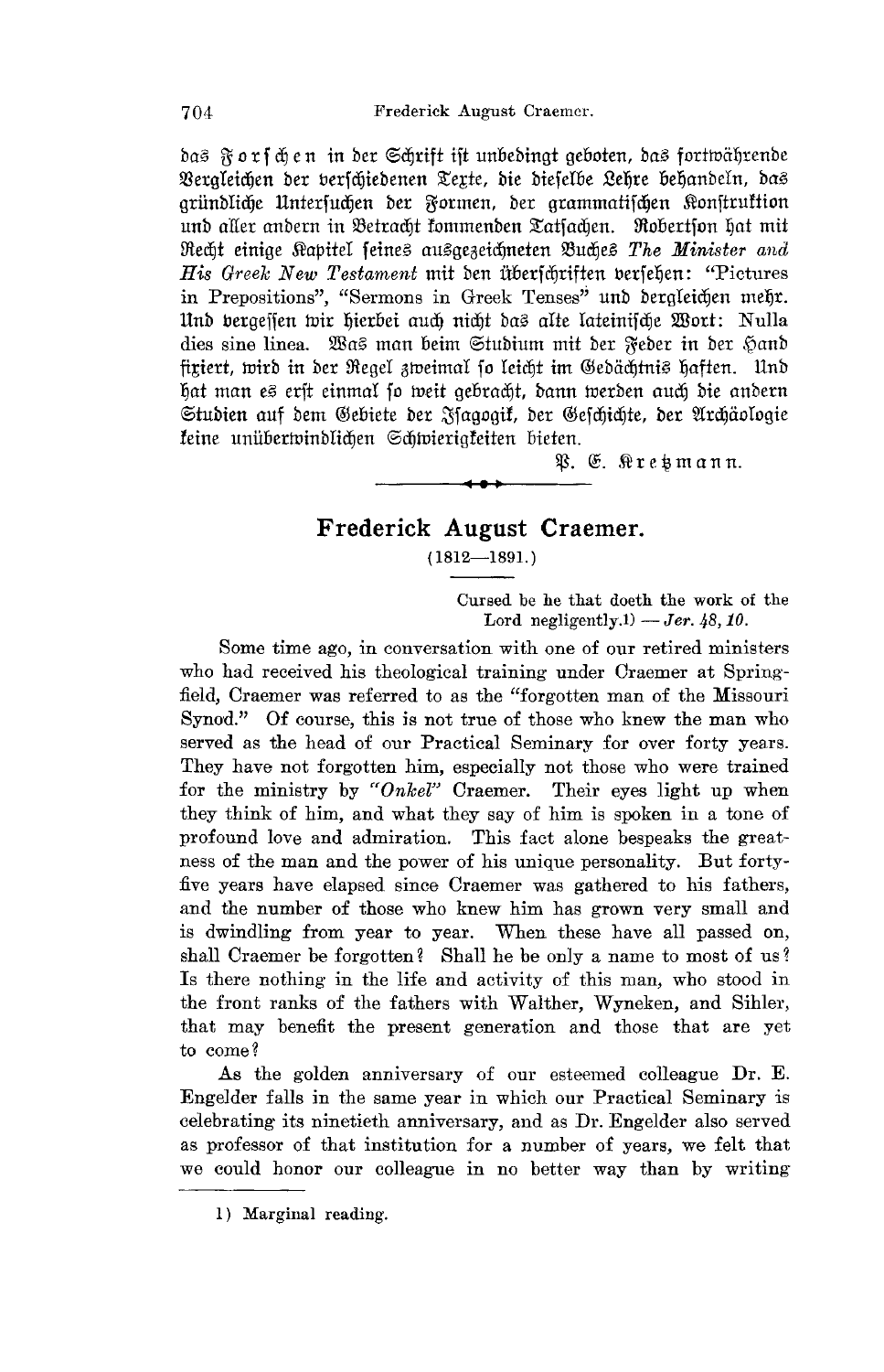bai3 ~ <sup>0</sup>t f dj en in bet @3djrif± ift unoebingt geooten, ba£! fortwiifjrenbe Bergleichen der berschiedenen Texte, die dieselbe Lehre behandeln, das gründliche Unterfuchen der Formen, der grammatifchen Konftruktion und aller andern in Betracht fommenden Tatfachen. Probertfon hat mit iRedj± einige Sl'apiteI fdne£! au£!gei)eidjneten mudje£! *The Minister and His Greek New Testament* mit den überfchriften berfehen: "Pictures in Prepositions", "Sermons in Greek Tenses" unb bergleidjen meljt. Und bergeffen *wir hierbei auch nicht das alte lateinifche* Wort: Nulla dies sine linea. ~\Bas man beim Studium mit der  $\widetilde{\kappa}$ eder in der Hand fixiert, wird in der Regel zweimal so leicht im Gedächtnis haften. Und hat man es erft einmal so weit gebracht, dann werden auch die andern Studien auf dem Gebiete der Ffagogik, der Gefchichte, der Archäologie {cine unfroetwinbIidjen 6djwierigfciten oiden.

~. (E. ~te~mann.

#### **Frederick August Craemer.**

 $(1812 - 1891.)$ 

Cursed be he that doeth the work of the Lord negligently.<sup>1</sup>) - *Jer.* 48, 10.

Some time ago, in conversation with one of our retired ministers who had received his theological training under Oraemer at Spring field, Craemer was referred to as the "forgotten man of the Missouri Synod." Of course, this is not true of those who knew the man who served as the head of our Practical Seminary for over forty years. They have not forgotten him, especially not those who were trained for the ministry by *"Onkel"* Craemer. Their eyes light up when they think of him, and what they say of him is spoken in a tone of profound love and admiration. This fact alone bespeaks the greatness of the man and the power of his unique personality. But forty five years have elapsed since Craemer was gathered to his fathers, and the number of those who knew him has grown very small and is dwindling from year to year. When these have all passed on, shall Craemer be forgotten? Shall he be only a name to most of us? Is there nothing in the life and activity of this man, who stood in the front ranks of the fathers with Walther, Wyneken, and Sihler, that may benefit the present generation and those that are yet to come?

As the golden anniversary of our esteemed colleague Dr. E. Engelder falls in the same year in which our Practical Seminary is celebrating its ninetieth anniversary, and as Dr. Engelder also served as professor of that institution for a number of years, we felt that we could honor our colleague in no better way than by writing

704

<sup>1)</sup> Marginal reading.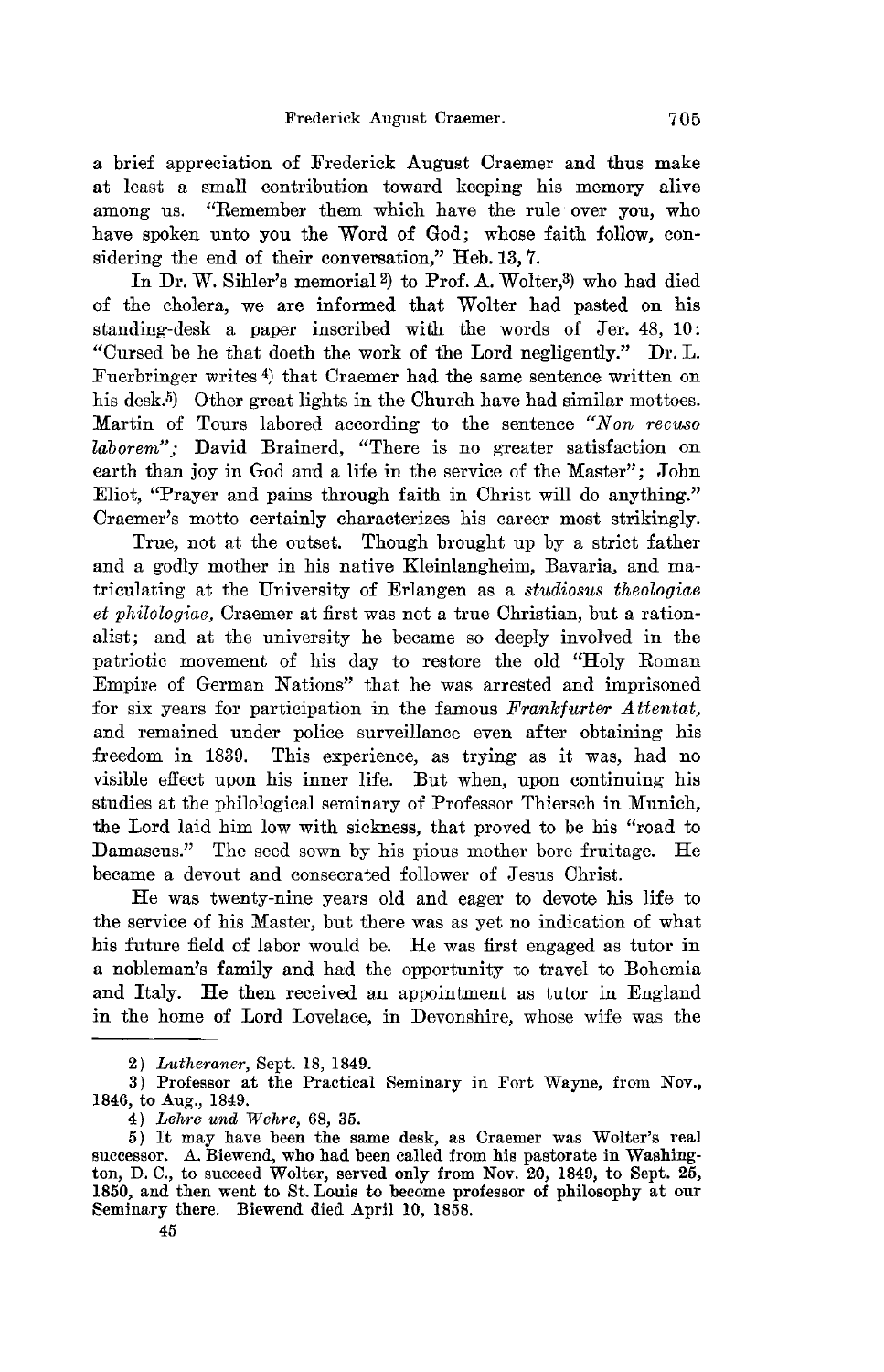a brief appreciation of Frederick August Oraemer and thus make at least a small contribution toward keeping his memory alive among us. "Remember them which have the rule over you, who have spoken unto you the Word of God; whose faith follow, considering the end of their conversation," Heb. 13, 7.

In Dr. W. Sihler's memorial 2) to Prof. A. Wolter, 3) who had died of the cholera, we are informed that Wolter had pasted on his standing-desk a paper inscribed with the words of Jer. 48, 10: "Oursed be he that doeth the work of the Lord negligently." Dr. L. Fuerbringer writes 4) that Oraemer had the same sentence written on his desk.<sup>5</sup>) Other great lights in the Church have had similar mottoes. Martin of Tours labored according to the sentence "Non recuso" *laborem"*; David Brainerd, "There is no greater satisfaction on earth than joy in God and a life in the service of the Master"; John Eliot, "Prayer and pains through faith in Ohrist will do anything." Oraemer's motto certainly characterizes his career most strikingly.

True, not at the outset. Though brought up by a strict father and a godly mother in his native Kleinlangheim, Bavaria, and matriculating at the University of Erlangen as a *studiosus theologiae et philologiae*, Craemer at first was not a true Christian, but a rationalist; and at the university he became so deeply involved in the patriotic movement of his day to restore the old "Holy Roman Empire of German Nations" that he was arrested and imprisoned for six years for participation in the famous *Frankfurter Attentat,*  and remained under police surveillance even after obtaining his freedom in 1839. This experience, as trying as it was, had no visible effect upon his inner life. But when, upon continuing his studies at the philological seminary of Professor Thiersch in Munich, the Lord laid him low with sickness, that proved to be his "road to Damascus." The seed sown by his pious mother bore fruitage. He became a devout and consecrated follower of Jesus Christ.

He was twenty-nine years old and eager to devote his life to the service of his Master, but there was as yet no indication of what his future field of labor would be. He was first engaged as tutor in a nobleman's family and had the opportunity to travel to Bohemia and Italy. He then received an appointment as tutor in England in the home of Lord Lovelace, in Devonshire, whose wife was the

<sup>2)</sup> *Lutheraner,* Sept. 18, 1849.

<sup>3)</sup> Professor at the Practical Seminary in Fort Wayne, from Nov., 1846, to Aug., 1849.

<sup>4)</sup> *Lehre und Wehre*, 68, 35.<br>5) It may have been the same desk, as Craemer was Wolter's real successor. A. Biewend, who had been called from his pastorate in Washington, D. C., to succeed Wolter, served only from Nov. 20, 1849, to Sept. 25, 1850, and then went to St. Louis to become professor of philosophy at our Seminary there. Biewend died April 10, 1858.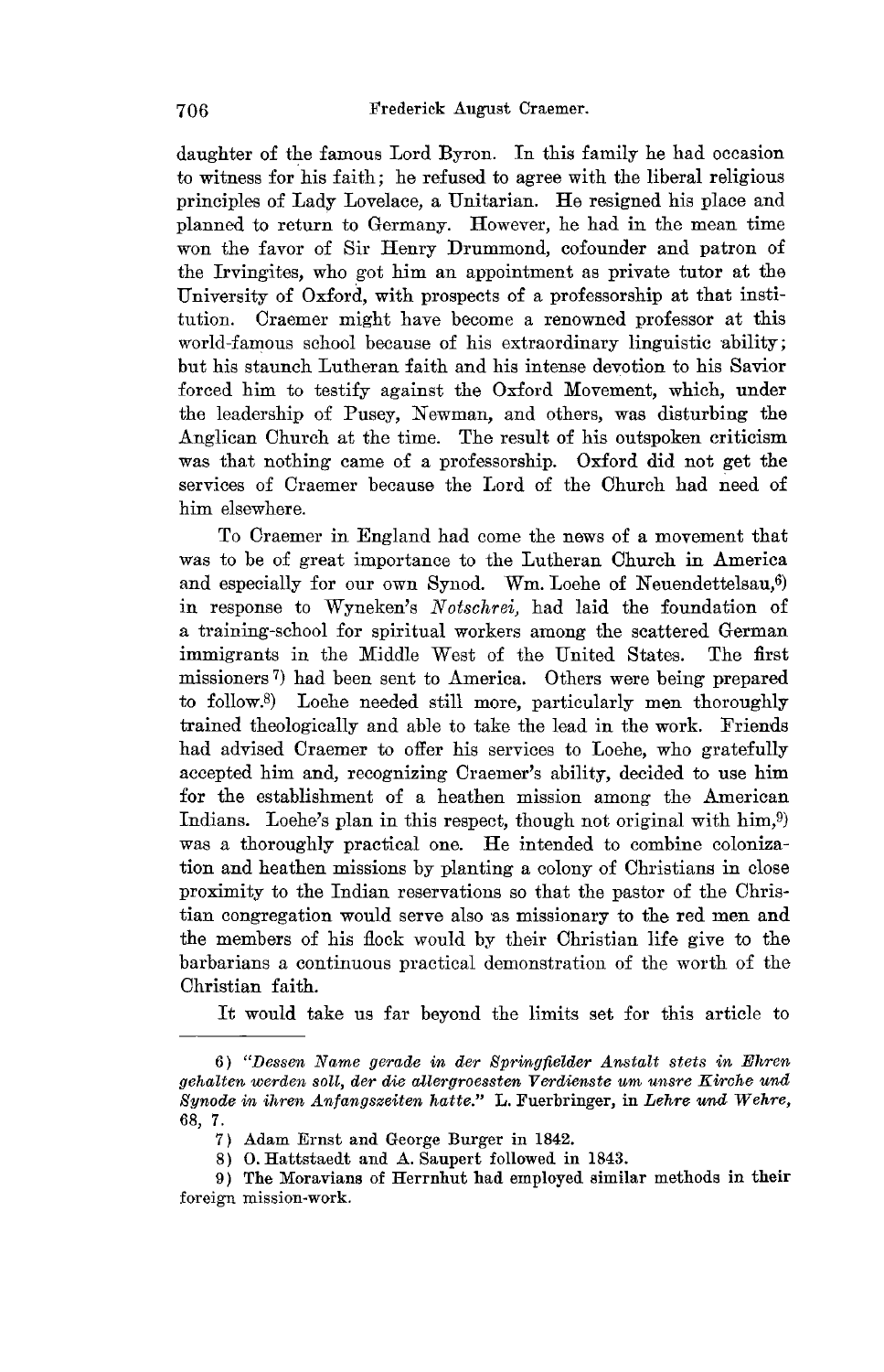daughter of the famous Lord Byron. In this family he had occasion to witness for his faith; he refused to agree with the liberal religious principles of Lady Lovelace, a Unitarian. He resigned his place and planned to return to Germany. However, he had in the mean time won the favor of Sir Henry Drummond, cofounder and patron of the Irvingites, who got him an appointment as private tutor at the University of Oxford, with prospects of a professorship at that institution. Craemer might have become a renowned professor at this world-famous school because of his extraordinary linguistic ability; but his staunch Lutheran faith and his intense devotion to his Savior forced him to testify against the Oxford Movement, which, under the leadership of Pusey, Newman, and others, was disturbing the Anglican Church at the time. The result of his outspoken criticism was that nothing came of a professorship. Oxford did not get the services of Craemer because the Lord of the Church had need of him elsewhere.

To Craemer in England had come the news of a movement that was to be of great importance to the Lutheran Church in America and especially for our own Synod. Wm. Loehe of Neuendettelsau, $6$ ) in response to Wyneken's *Notschrei*, had laid the foundation of a training-school for spiritual workers among the scattered German immigrants in the Middle West of the United States. The first missioners 7) had been sent to America. Others were being prepared to follow.S) Loehe needed still more, particularly men thoroughly trained theologically and able to take the lead in the work. Friends had advised Craemer to offer his services to Loehe, who gratefully accepted him and, recognizing Craemer's ability, decided to use him for the establishment of a heathen mission among the American Indians. Loehe's plan in this respect, though not original with him,<sup>9</sup> was a thoroughly practical one. He intended to combine colonization and heathen missions by planting a colony of Christians in close proximity to the Indian reservations so that the pastor of the Christian congregation would serve also as missionary to the red men and the members of his flock would by their Christian life give to the barbarians a continuous practical demonstration of the worth of the Christian faith.

It would take us far beyond the limits set for this article to

<sup>6) &</sup>quot;Dessen Name gerade in der Springfielder Anstalt stets in Ehren gehalten werden soll, der die allergroessten Verdienste um unsre Kirche und *Synode in ihren Anfangszeiten hatte."* L. Fuerbringer, in *Lehre und Wehre,*  68, 7.

<sup>7)</sup> Adam Ernst and George Burger in 1842.

<sup>8)</sup> O. Hattstaedt and A. Saupert followed in 1843.

<sup>9)</sup> The Moravians of Herrnhut had employed similar methods in their foreign mission-work.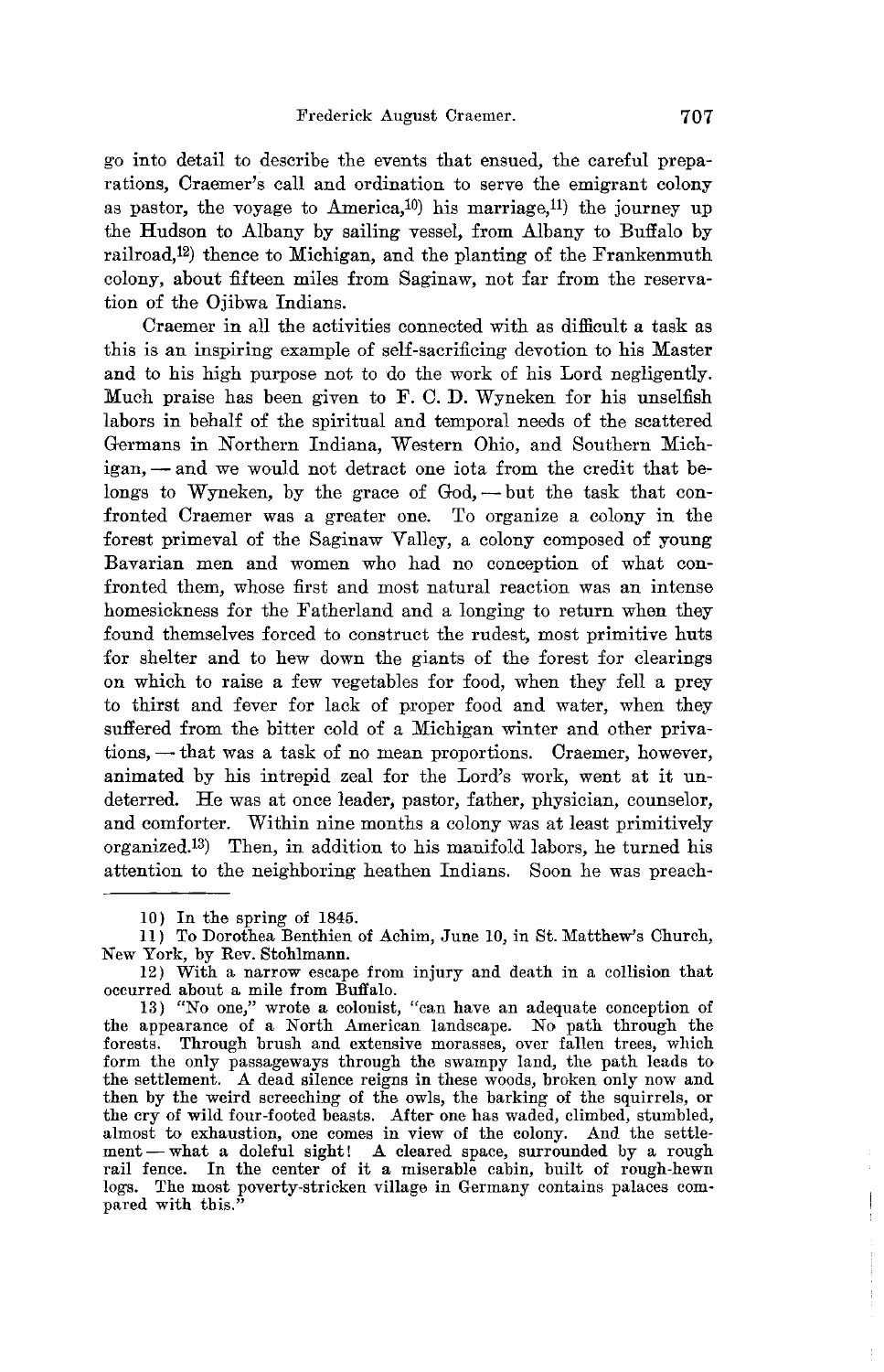go into detail to describe the events that ensued, the careful preparations, Oraemer's call and ordination to serve the emigrant colony as pastor, the voyage to America,<sup>10</sup>) his marriage,<sup>11</sup>) the journey up the Hudson to Albany by sailing vessel, from Albany to Buffalo by railroad,12) thence to Michigan, and the planting of the Frankenmuth colony, about fifteen miles from Saginaw, not far from the reservation of the Ojibwa Indians.

Oraemer in all the activities connected with as difficult a task as this is an inspiring example of self-sacrificing devotion to his Master and to his high purpose not to do the work of his Lord negligently. Much praise has been given to F. O. **D.** Wyneken for his unselfish labors in behalf of the spiritual and temporal needs of the scattered Germans in Northern Indiana, Western Ohio, and Southern Michigan, - and we would not detract one iota from the credit that belongs to Wyneken, by the grace of God, - but the task that confronted Oraemer was a greater one. To organize a colony in the forest primeval of the Saginaw Valley, a colony composed of young Bavarian men and women who had no conception of what confronted them, whose first and most natural reaction was an intense homesickness for the Fatherland and a longing to return when they found themselves forced to construct the rudest, most primitive huts for shelter and to hew down the giants of the forest for clearings on which to raise a few vegetables for food, when they fell a prey to thirst and fever for lack of proper food and water, when they suffered from the bitter cold of a Michigan winter and other privations, - that was a task of no mean proportions. Craemer, however, animated by his intrepid zeal for the Lord's work, went at it undeterred. He was at once leader, pastor, father, physician, counselor, and comforter. Within nine months a colony was at least primitively organized.13) Then, in addition to his manifold labors, he turned his attention to the neighboring heathen Indians. Soon he was preach-

<sup>10)</sup> In the spring of 1845.

<sup>11)</sup> To Dorothea Benthien of Achim, June 10, in St. Matthew's Church, New York, by Rev. Stohlmann.

<sup>12)</sup> With a narrow escape from injury and death in a collision that occurred about a mile from Buffalo.

<sup>13) &</sup>quot;No one," wrote a colonist, "can have an adequate conception of the appearance of a North American landscape. No path through the forests. Through brush and extensive morasses, over fallen trees, which form the only passageways through the swampy land, the path leads to the settlement. A dead silence reigns in these woods, broken only now and then by the weird screeching of the owls, the barking of the squirrels, or the cry of wild four-footed beasts. After one has waded, climbed, stumbled, almost to exhaustion, one comes in view of the colony. And the settlement-what a doleful sight! A cleared space, surrounded by a rough rail fence. In the center of it a miserable cabin, built of rough-hewn logs. The most poverty-strieken village in Germany contains palaces compared with this."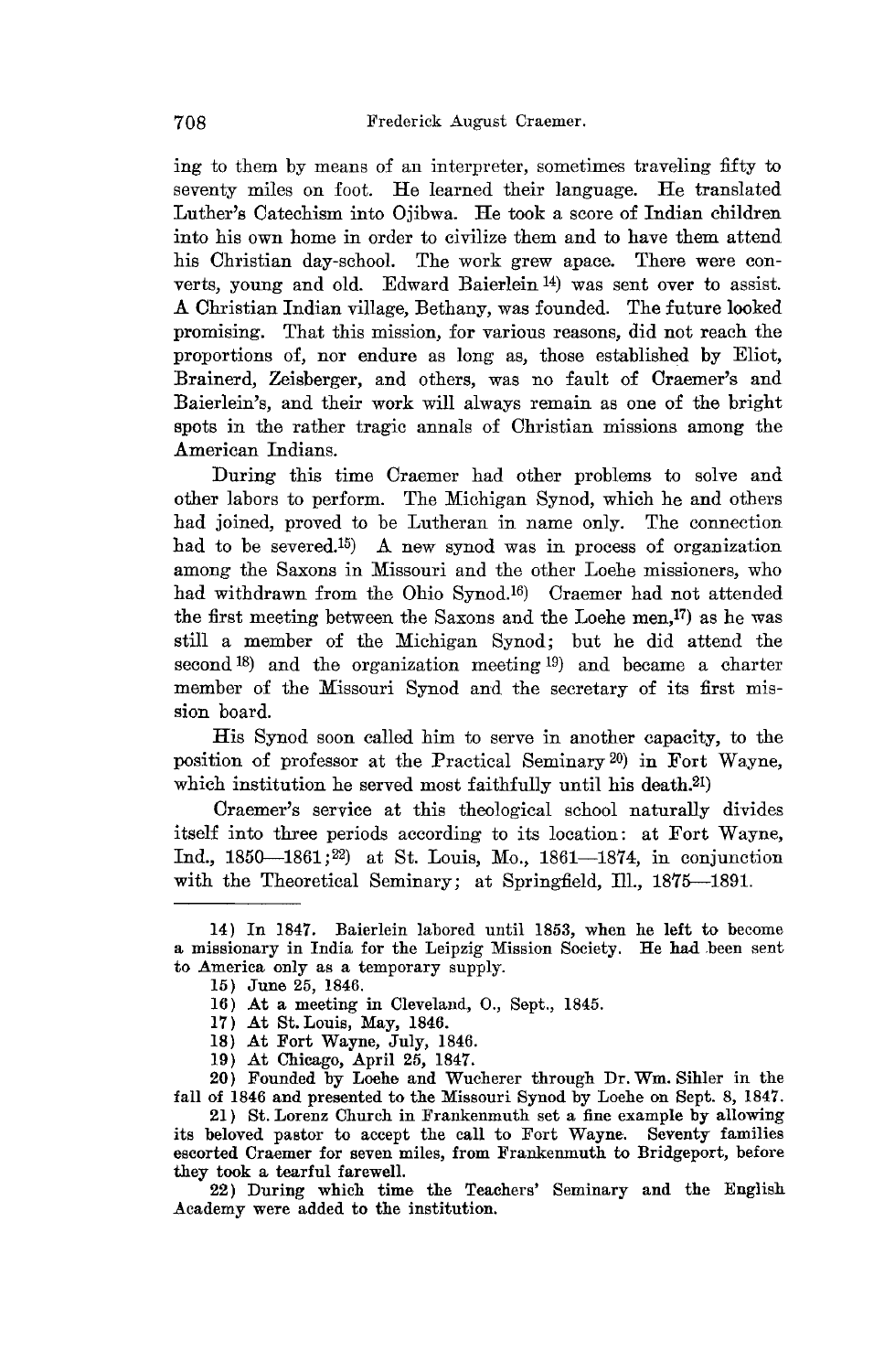ing to them by means of an interpreter, sometimes traveling fifty to seventy miles on foot. He learned their language. He translated Luther's Oatechism into Ojibwa. He took a score of Indian children into his own home in order to civilize them and to have them attend his Ohristian day-school. The work grew apace. There were converts, young and old. Edward Baierlein 14) was sent over to assist. A Ohristian Indian village, Bethany, was founded. The future looked promising. That this mission, for various reasons, did not reach the proportions of, nor endure as long as, those established by Eliot, Brainerd, Zeisberger, and others, was no fault of Oraemer's and Baierlein's, and their work will always remain as one of the bright spots in the rather tragic annals of Ohristian missions among the American Indians.

During this time Oraemer had other problems to solve and other labors to perform. The Michigan Synod, which he and others had joined, proved to be Lutheran in name only. The connection had to be severed.<sup>15</sup>) A new synod was in process of organization among the Saxons in Missouri and the other Loehe missioners, who had withdrawn from the Ohio Synod.16) Oraemer had not attended the first meeting between the Saxons and the Loehe men, $^{17}$ ) as he was still a member of the Michigan Synod; but he did attend the second 18) and the organization meeting 19) and became a charter member of the Missouri Synod and the secretary of its first mission board.

His Synod soon called him to serve in another capacity, to the position of professor at the Practical Seminary 20) in Fort Wayne, which institution he served most faithfully until his death.<sup>21</sup>)

Oraemer's service at this theological school naturally divides itself into three periods according to its location: at Fort Wayne, Ind., 1850--1861;22) at St. Louis, Mo., 1861-18'74, in conjunction with the Theoretical Seminary; at Springfield, Ill., 1875-1891.

- 16) At a meeting in Cleveland, 0., Sept., 1845.
- 17) At St. Louis, May, 1846.
- 18) At Fort Wayne, July, 1846.
- 19) At Chicago, April 25, 1847.

20) Founded by Loehe and Wucherer through Dr. Wm. Sihler in the fall of 1846 and presented to the Missouri Synod by Loehe on Sept. 8, 1847.

21) St. Lorenz Church in Frankenmuth set a fine example by allowing its beloved pastor to accept the call to Fort Wayne. Seventy families escorted Craemer for seven miles, from Frankenmuth to Bridgeport, before they took a tearful farewell.

22) During which time the Teachers' Seminary and the English Academy were added to the institution.

<sup>14)</sup> In 1847. Baierlein labored until 1853, when he left to become a missionary in India for the Leipzig Mission Society. He had been sent to America only as a temporary supply.

<sup>15)</sup> June 25, 1846.